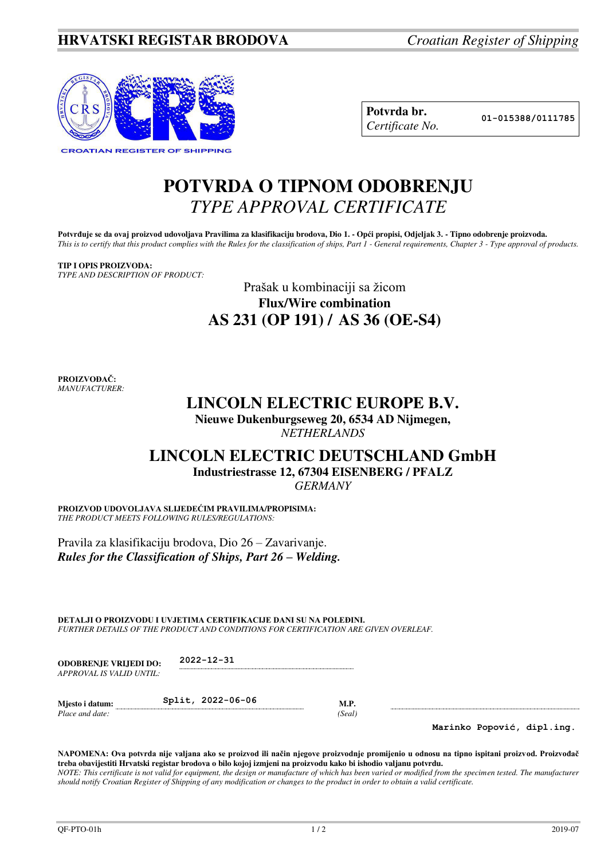

| Potvrda br.     |
|-----------------|
| Certificate No. |

**Potvrda br. 01-015388/0111785**

# **POTVRDA O TIPNOM ODOBRENJU**  *TYPE APPROVAL CERTIFICATE*

**Potvrđuje se da ovaj proizvod udovoljava Pravilima za klasifikaciju brodova, Dio 1. - Opći propisi, Odjeljak 3. - Tipno odobrenje proizvoda.**  *This is to certify that this product complies with the Rules for the classification of ships, Part 1 - General requirements, Chapter 3 - Type approval of products.* 

#### **TIP I OPIS PROIZVODA:** *TYPE AND DESCRIPTION OF PRODUCT:*

### Prašak u kombinaciji sa žicom **Flux/Wire combination AS 231 (OP 191) / AS 36 (OE-S4)**

**PROIZVOĐAČ:** *MANUFACTURER:*

## **LINCOLN ELECTRIC EUROPE B.V.**

**Nieuwe Dukenburgseweg 20, 6534 AD Nijmegen,**  *NETHERLANDS* 

### **LINCOLN ELECTRIC DEUTSCHLAND GmbH Industriestrasse 12, 67304 EISENBERG / PFALZ**

*GERMANY* 

**PROIZVOD UDOVOLJAVA SLIJEDEĆIM PRAVILIMA/PROPISIMA:** *THE PRODUCT MEETS FOLLOWING RULES/REGULATIONS:* 

Pravila za klasifikaciju brodova, Dio 26 – Zavarivanje. *Rules for the Classification of Ships, Part 26 – Welding.*

**DETALJI O PROIZVODU I UVJETIMA CERTIFIKACIJE DANI SU NA POLEĐINI.** *FURTHER DETAILS OF THE PRODUCT AND CONDITIONS FOR CERTIFICATION ARE GIVEN OVERLEAF.* 

| <b>ODOBRENJE VRLIEDI DO:</b> | $2022 - 12 - 31$ |
|------------------------------|------------------|
| APPROVAL IS VALID UNTIL:     |                  |

| Mjesto i datum: | Split, 2022-06-06 |       |
|-----------------|-------------------|-------|
| Place and date: |                   | Seal) |

**Marinko Popović, dipl.ing.**

**NAPOMENA: Ova potvrda nije valjana ako se proizvod ili način njegove proizvodnje promijenio u odnosu na tipno ispitani proizvod. Proizvođač treba obavijestiti Hrvatski registar brodova o bilo kojoj izmjeni na proizvodu kako bi ishodio valjanu potvrdu.**  *NOTE: This certificate is not valid for equipment, the design or manufacture of which has been varied or modified from the specimen tested. The manufacturer should notify Croatian Register of Shipping of any modification or changes to the product in order to obtain a valid certificate.*